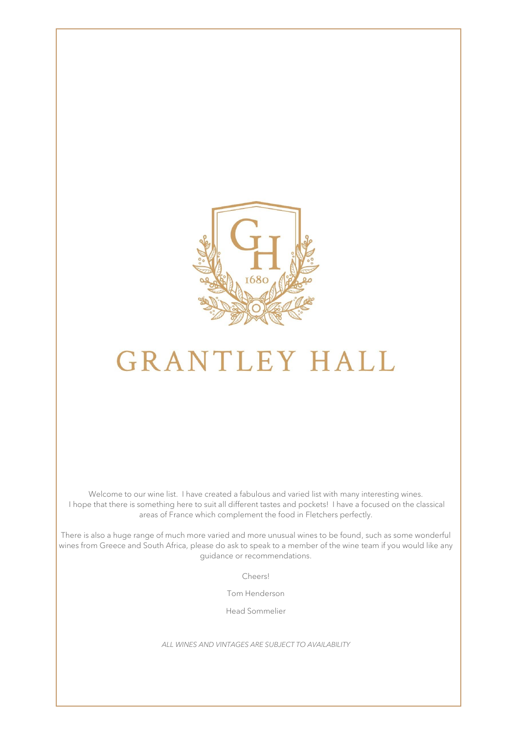

# **GRANTLEY HALL**

Welcome to our wine list. I have created a fabulous and varied list with many interesting wines. I hope that there is something here to suit all different tastes and pockets! I have a focused on the classical areas of France which complement the food in Fletchers perfectly.

There is also a huge range of much more varied and more unusual wines to be found, such as some wonderful wines from Greece and South Africa, please do ask to speak to a member of the wine team if you would like any guidance or recommendations.

Cheers!

Tom Henderson

Head Sommelier

*ALL WINES AND VINTAGES ARE SUBJECT TO AVAILABILITY*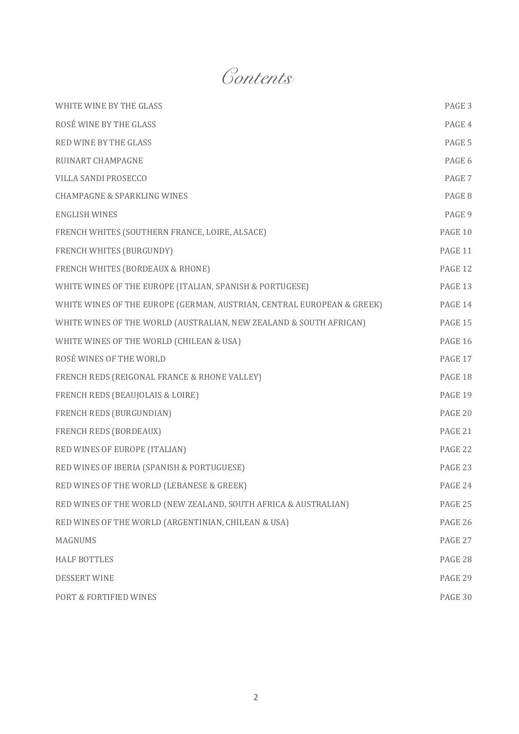*Contents*

| WHITE WINE BY THE GLASS                                                | PAGE 3         |
|------------------------------------------------------------------------|----------------|
| ROSÉ WINE BY THE GLASS                                                 | PAGE 4         |
| <b>RED WINE BY THE GLASS</b>                                           | PAGE 5         |
| <b>RUINART CHAMPAGNE</b>                                               | PAGE 6         |
| VILLA SANDI PROSECCO                                                   | PAGE 7         |
| <b>CHAMPAGNE &amp; SPARKLING WINES</b>                                 | PAGE 8         |
| <b>ENGLISH WINES</b>                                                   | PAGE 9         |
| FRENCH WHITES (SOUTHERN FRANCE, LOIRE, ALSACE)                         | PAGE 10        |
| FRENCH WHITES (BURGUNDY)                                               | PAGE 11        |
| FRENCH WHITES (BORDEAUX & RHONE)                                       | PAGE 12        |
| WHITE WINES OF THE EUROPE (ITALIAN, SPANISH & PORTUGESE)               | PAGE 13        |
| WHITE WINES OF THE EUROPE (GERMAN, AUSTRIAN, CENTRAL EUROPEAN & GREEK) | PAGE 14        |
| WHITE WINES OF THE WORLD (AUSTRALIAN, NEW ZEALAND & SOUTH AFRICAN)     | PAGE 15        |
| WHITE WINES OF THE WORLD (CHILEAN & USA)                               | <b>PAGE 16</b> |
| ROSÉ WINES OF THE WORLD                                                | PAGE 17        |
| FRENCH REDS (REIGONAL FRANCE & RHONE VALLEY)                           | PAGE 18        |
| FRENCH REDS (BEAUJOLAIS & LOIRE)                                       | PAGE 19        |
| FRENCH REDS (BURGUNDIAN)                                               | PAGE 20        |
| FRENCH REDS (BORDEAUX)                                                 | PAGE 21        |
| RED WINES OF EUROPE (ITALIAN)                                          | PAGE 22        |
| RED WINES OF IBERIA (SPANISH & PORTUGUESE)                             | PAGE 23        |
| RED WINES OF THE WORLD (LEBANESE & GREEK)                              | PAGE 24        |
| RED WINES OF THE WORLD (NEW ZEALAND, SOUTH AFRICA & AUSTRALIAN)        | PAGE 25        |
| RED WINES OF THE WORLD (ARGENTINIAN, CHILEAN & USA)                    | PAGE 26        |
| <b>MAGNUMS</b>                                                         | PAGE 27        |
| <b>HALF BOTTLES</b>                                                    | PAGE 28        |
| <b>DESSERT WINE</b>                                                    | PAGE 29        |
| PORT & FORTIFIED WINES                                                 | PAGE 30        |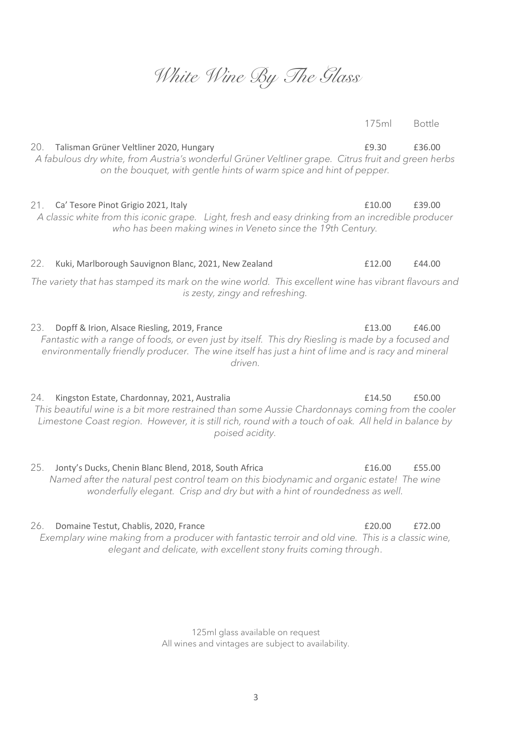## *White Wine By The Glass*

20. Talisman Grüner Veltliner 2020, Hungary **E9.30** £36.00 *A fabulous dry white, from Austria's wonderful Grüner Veltliner grape. Citrus fruit and green herbs on the bouquet, with gentle hints of warm spice and hint of pepper.*

21. Ca' Tesore Pinot Grigio 2021, Italy £10.00 £39.00

*A classic white from this iconic grape. Light, fresh and easy drinking from an incredible producer who has been making wines in Veneto since the 19th Century.*

#### *The variety that has stamped its mark on the wine world. This excellent wine has vibrant flavours and is zesty, zingy and refreshing.*

23. Dopff & Irion, Alsace Riesling, 2019, France  $\qquad 23.$  E13.00 £46.00 *Fantastic with a range of foods, or even just by itself. This dry Riesling is made by a focused and environmentally friendly producer. The wine itself has just a hint of lime and is racy and mineral driven.*

24. Kingston Estate, Chardonnay, 2021, Australia **1201 11201 1214**.50 £50.00 *This beautiful wine is a bit more restrained than some Aussie Chardonnays coming from the cooler Limestone Coast region. However, it is still rich, round with a touch of oak. All held in balance by poised acidity.*

25. Jonty's Ducks, Chenin Blanc Blend, 2018, South Africa **E16.00** £55.00 *Named after the natural pest control team on this biodynamic and organic estate! The wine wonderfully elegant. Crisp and dry but with a hint of roundedness as well.*

#### 26. Domaine Testut, Chablis, 2020, France £20.00 £72.00

*Exemplary wine making from a producer with fantastic terroir and old vine. This is a classic wine, elegant and delicate, with excellent stony fruits coming through*.

> 125ml glass available on request All wines and vintages are subject to availability.

175ml Bottle

22. Kuki, Marlborough Sauvignon Blanc, 2021, New Zealand **Election E12.00** £44.00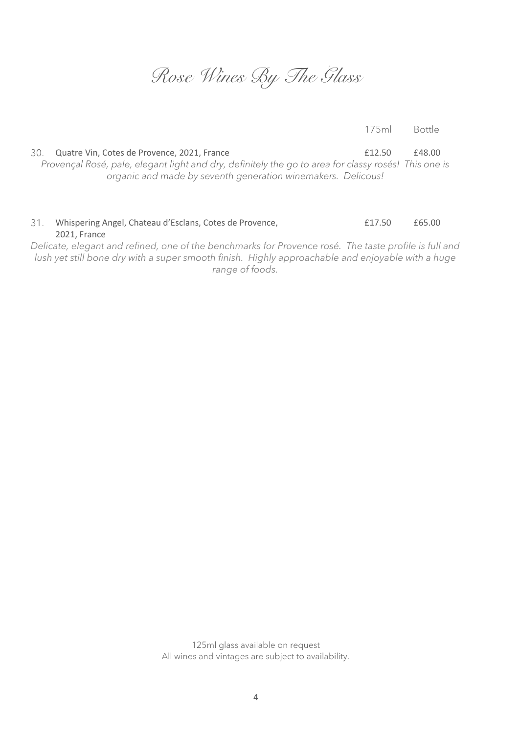*Rose Wines By The Glass*

175ml Bottle

30. Quatre Vin, Cotes de Provence, 2021, France  $\qquad 2021$ , France  $\qquad 2031$ *Provençal Rosé, pale, elegant light and dry, definitely the go to area for classy rosés! This one is organic and made by seventh generation winemakers. Delicous!*

#### 31. Whispering Angel, Chateau d'Esclans, Cotes de Provence, 2021, France £17.50 £65.00

*Delicate, elegant and refined, one of the benchmarks for Provence rosé. The taste profile is full and lush yet still bone dry with a super smooth finish. Highly approachable and enjoyable with a huge range of foods.*

> 125ml glass available on request All wines and vintages are subject to availability.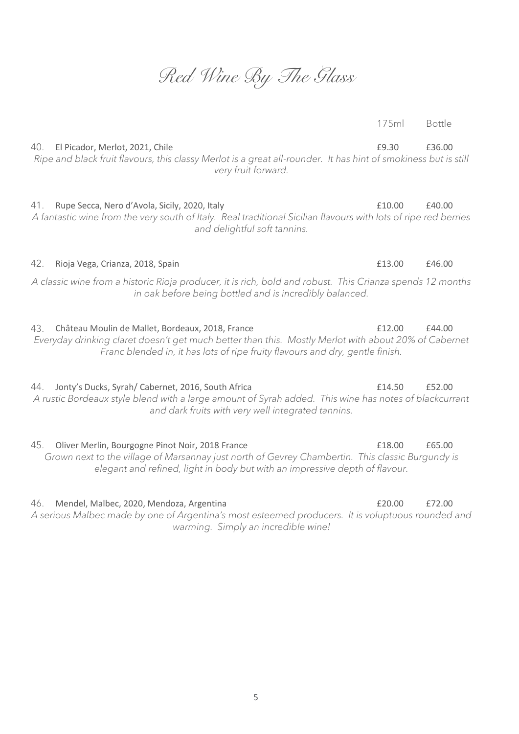### *Red Wine By The Glass*

40. El Picador, Merlot, 2021, Chile **19.30 E9.30 £36.00** *Ripe and black fruit flavours, this classy Merlot is a great all-rounder. It has hint of smokiness but is still very fruit forward.*

41. Rupe Secca, Nero d'Avola, Sicily, 2020, Italy £10.00 £40.00 *A fantastic wine from the very south of Italy. Real traditional Sicilian flavours with lots of ripe red berries and delightful soft tannins.*

*A classic wine from a historic Rioja producer, it is rich, bold and robust. This Crianza spends 12 months in oak before being bottled and is incredibly balanced.*

43. Château Moulin de Mallet, Bordeaux, 2018, France **Election E12.00** £44.00 *Everyday drinking claret doesn't get much better than this. Mostly Merlot with about 20% of Cabernet Franc blended in, it has lots of ripe fruity flavours and dry, gentle finish.*

44. Jonty's Ducks, Syrah/ Cabernet, 2016, South Africa <br>
£14.50 £52.00 *A rustic Bordeaux style blend with a large amount of Syrah added. This wine has notes of blackcurrant and dark fruits with very well integrated tannins.*

45. Oliver Merlin, Bourgogne Pinot Noir, 2018 France **18.00** £65.00 £65.00 *Grown next to the village of Marsannay just north of Gevrey Chambertin. This classic Burgundy is elegant and refined, light in body but with an impressive depth of flavour.*

46. Mendel, Malbec, 2020, Mendoza, Argentina £20.00 £72.00 *A serious Malbec made by one of Argentina's most esteemed producers. It is voluptuous rounded and warming. Simply an incredible wine!*

175ml Bottle

42. Rioja Vega, Crianza, 2018, Spain £13.00 £46.00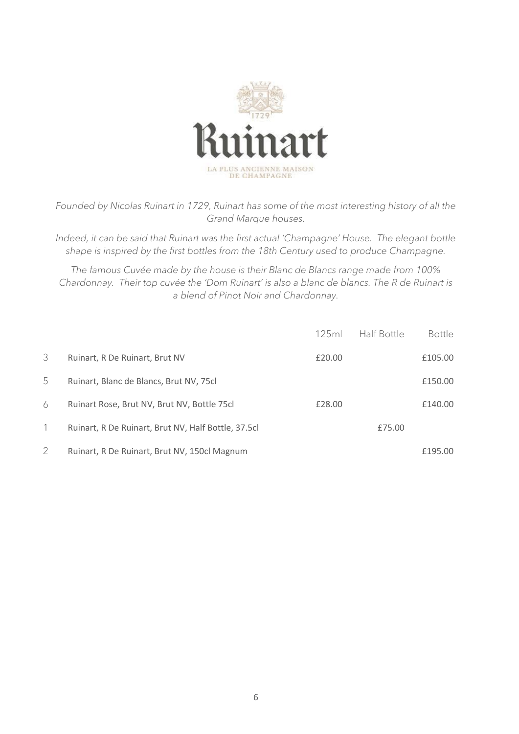

*Founded by Nicolas Ruinart in 1729, Ruinart has some of the most interesting history of all the Grand Marque houses.* 

*Indeed, it can be said that Ruinart was the first actual 'Champagne' House. The elegant bottle shape is inspired by the first bottles from the 18th Century used to produce Champagne.* 

*The famous Cuvée made by the house is their Blanc de Blancs range made from 100% Chardonnay. Their top cuvée the 'Dom Ruinart' is also a blanc de blancs. The R de Ruinart is a blend of Pinot Noir and Chardonnay.*

|                |                                                     | 125ml  | Half Bottle | <b>Bottle</b> |
|----------------|-----------------------------------------------------|--------|-------------|---------------|
| 3              | Ruinart, R De Ruinart, Brut NV                      | £20.00 |             | £105.00       |
| 5              | Ruinart, Blanc de Blancs, Brut NV, 75cl             |        |             | £150.00       |
| 6              | Ruinart Rose, Brut NV, Brut NV, Bottle 75cl         | £28.00 |             | £140.00       |
|                | Ruinart, R De Ruinart, Brut NV, Half Bottle, 37.5cl |        | £75.00      |               |
| $\overline{2}$ | Ruinart, R De Ruinart, Brut NV, 150cl Magnum        |        |             | £195.00       |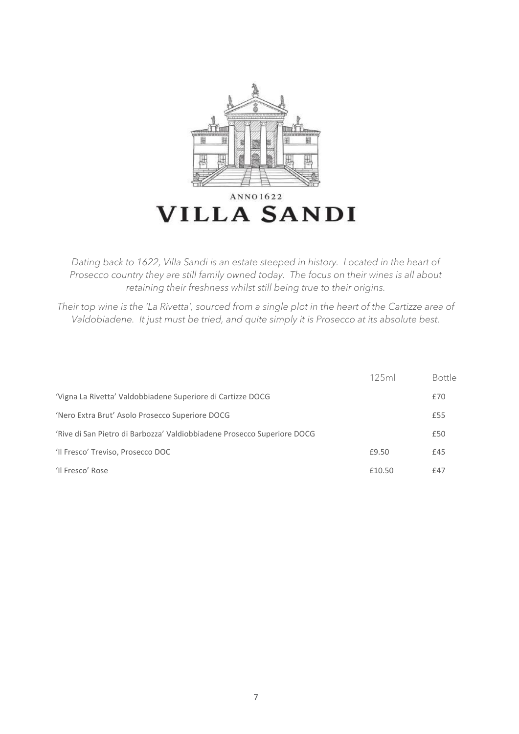

*Dating back to 1622, Villa Sandi is an estate steeped in history. Located in the heart of Prosecco country they are still family owned today. The focus on their wines is all about retaining their freshness whilst still being true to their origins.*

*Their top wine is the 'La Rivetta', sourced from a single plot in the heart of the Cartizze area of Valdobiadene. It just must be tried, and quite simply it is Prosecco at its absolute best.*

|                                                                         | 125ml  | <b>Bottle</b> |
|-------------------------------------------------------------------------|--------|---------------|
| 'Vigna La Rivetta' Valdobbiadene Superiore di Cartizze DOCG             |        | £70           |
| 'Nero Extra Brut' Asolo Prosecco Superiore DOCG                         |        | £55           |
| 'Rive di San Pietro di Barbozza' Valdiobbiadene Prosecco Superiore DOCG |        | £50           |
| 'Il Fresco' Treviso, Prosecco DOC                                       | £9.50  | £45           |
| 'Il Fresco' Rose                                                        | £10.50 | £47           |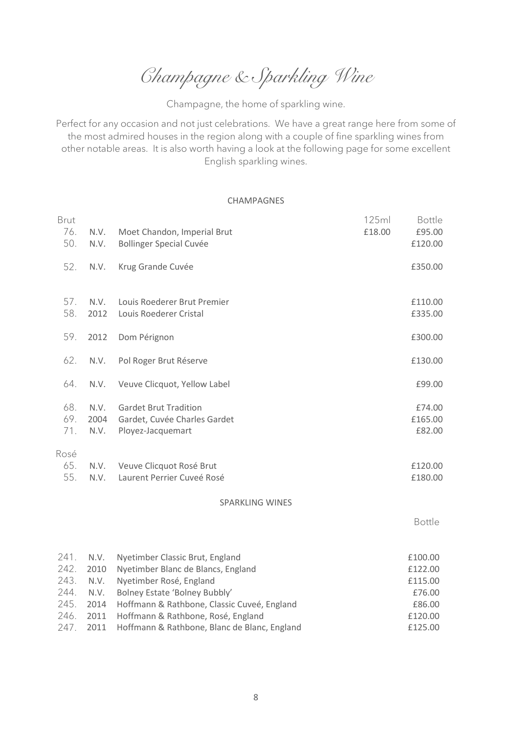*Champagne & Sparkling Wine*

Champagne, the home of sparkling wine.

Perfect for any occasion and not just celebrations. We have a great range here from some of the most admired houses in the region along with a couple of fine sparkling wines from other notable areas. It is also worth having a look at the following page for some excellent English sparkling wines.

#### CHAMPAGNES

| <b>Brut</b>        |                      |                                                                                   | 125ml  | <b>Bottle</b>               |
|--------------------|----------------------|-----------------------------------------------------------------------------------|--------|-----------------------------|
| 76.<br>50.         | N.V.<br>N.V.         | Moet Chandon, Imperial Brut<br><b>Bollinger Special Cuvée</b>                     | £18.00 | £95.00<br>£120.00           |
| 52.                | N.V.                 | Krug Grande Cuvée                                                                 |        | £350.00                     |
| 57.<br>58.         | N.V.<br>2012         | Louis Roederer Brut Premier<br>Louis Roederer Cristal                             |        | £110.00<br>£335.00          |
| 59.                | 2012                 | Dom Pérignon                                                                      |        | £300.00                     |
| 62.                | N.V.                 | Pol Roger Brut Réserve                                                            |        | £130.00                     |
| 64.                | N.V.                 | Veuve Clicquot, Yellow Label                                                      |        | £99.00                      |
| 68.<br>69.<br>71.  | N.V.<br>2004<br>N.V. | <b>Gardet Brut Tradition</b><br>Gardet, Cuvée Charles Gardet<br>Ployez-Jacquemart |        | £74.00<br>£165.00<br>£82.00 |
| Rosé<br>65.<br>55. | N.V.<br>N.V.         | Veuve Clicquot Rosé Brut<br>Laurent Perrier Cuveé Rosé                            |        | £120.00<br>£180.00          |
|                    |                      | <b>SPARKLING WINES</b>                                                            |        |                             |
|                    |                      |                                                                                   |        | Bottle                      |
| 241.               | N.V.                 | Nyetimber Classic Brut, England                                                   |        | £100.00                     |
| 242.<br>243.       | 2010<br>N.V.         | Nyetimber Blanc de Blancs, England<br>Nyetimber Rosé, England                     |        | £122.00<br>£115.00          |
| 244.               | N.V.                 | Bolney Estate 'Bolney Bubbly'                                                     |        | £76.00                      |
| 245.               | 2014                 | Hoffmann & Rathbone, Classic Cuveé, England                                       |        | £86.00                      |
| 246                | 2011                 | Hoffmann & Rathhone Rosé England                                                  |        | £120.00                     |

246. 2011 Hoffmann & Rathbone, Rosé, England £120.00 247. 2011 Hoffmann & Rathbone, Blanc de Blanc, England  $\qquad 247.$  2011 Hoffmann & Rathbone, Blanc de Blanc, England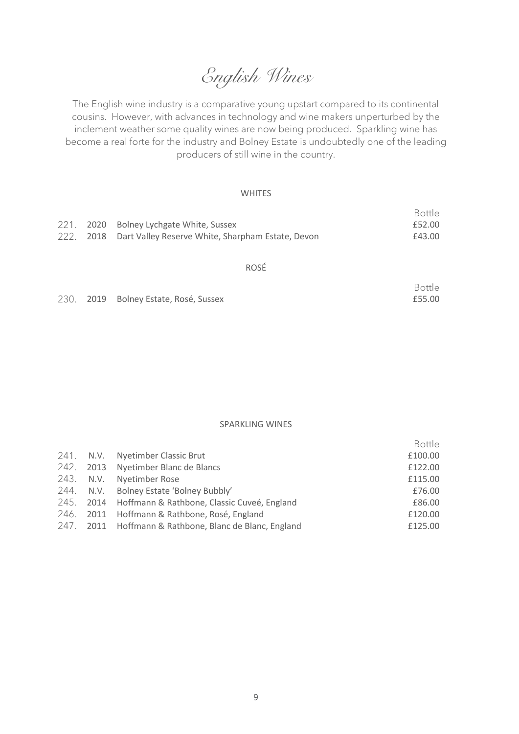*English Wines*

The English wine industry is a comparative young upstart compared to its continental cousins. However, with advances in technology and wine makers unperturbed by the inclement weather some quality wines are now being produced. Sparkling wine has become a real forte for the industry and Bolney Estate is undoubtedly one of the leading producers of still wine in the country.

#### **WHITES**

|  |                                                             | Bottle |
|--|-------------------------------------------------------------|--------|
|  | 221. 2020 Bolney Lychgate White, Sussex                     | £52.00 |
|  | 222. 2018 Dart Valley Reserve White, Sharpham Estate, Devon | £43.00 |
|  |                                                             |        |

#### ROSÉ

|  |                                       | Bottle |
|--|---------------------------------------|--------|
|  | 230. 2019 Bolney Estate, Rosé, Sussex | £55.00 |

SPARKLING WINES

|  |                                                        | <b>Bottle</b> |
|--|--------------------------------------------------------|---------------|
|  | 241. N.V. Nyetimber Classic Brut                       | £100.00       |
|  | 242. 2013 Nyetimber Blanc de Blancs                    | £122.00       |
|  | 243. N.V. Nyetimber Rose                               | £115.00       |
|  | 244. N.V. Bolney Estate 'Bolney Bubbly'                | £76.00        |
|  | 245. 2014 Hoffmann & Rathbone, Classic Cuveé, England  | £86.00        |
|  | 246. 2011 Hoffmann & Rathbone, Rosé, England           | £120.00       |
|  | 247. 2011 Hoffmann & Rathbone, Blanc de Blanc, England | £125.00       |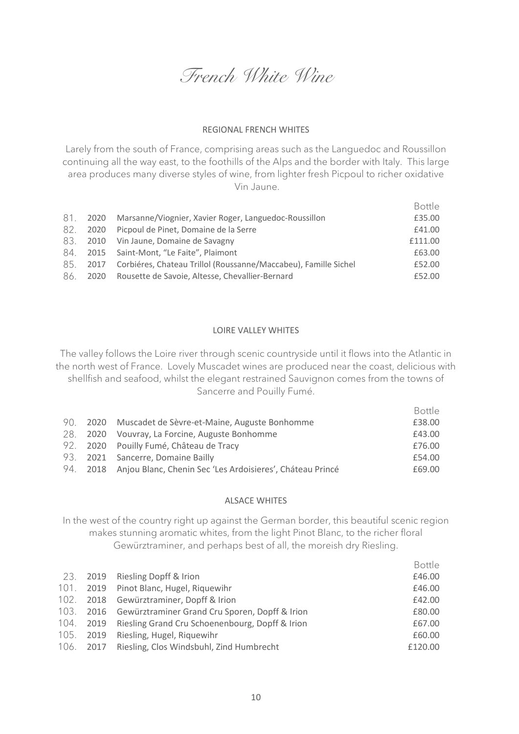*French White Wine*

#### REGIONAL FRENCH WHITES

Larely from the south of France, comprising areas such as the Languedoc and Roussillon continuing all the way east, to the foothills of the Alps and the border with Italy. This large area produces many diverse styles of wine, from lighter fresh Picpoul to richer oxidative Vin Jaune.

|      |      |                                                                      | Bottle  |
|------|------|----------------------------------------------------------------------|---------|
| 81.  | 2020 | Marsanne/Viognier, Xavier Roger, Languedoc-Roussillon                | £35.00  |
| -82. |      | 2020 Picpoul de Pinet, Domaine de la Serre                           | £41.00  |
| 83.  |      | 2010 Vin Jaune, Domaine de Savagny                                   | £111.00 |
| 84.  |      | 2015 Saint-Mont, "Le Faite", Plaimont                                | £63.00  |
| 85   |      | 2017 Corbiéres, Chateau Trillol (Roussanne/Maccabeu), Famille Sichel | £52.00  |
| 86.  |      | 2020 Rousette de Savoie, Altesse, Chevallier-Bernard                 | £52.00  |

#### LOIRE VALLEY WHITES

The valley follows the Loire river through scenic countryside until it flows into the Atlantic in the north west of France. Lovely Muscadet wines are produced near the coast, delicious with shellfish and seafood, whilst the elegant restrained Sauvignon comes from the towns of Sancerre and Pouilly Fumé.

|  |                                                                    | Bottle |
|--|--------------------------------------------------------------------|--------|
|  | 90. 2020 Muscadet de Sèvre-et-Maine, Auguste Bonhomme              | £38.00 |
|  | 28. 2020 Vouvray, La Forcine, Auguste Bonhomme                     | £43.00 |
|  | 92. 2020 Pouilly Fumé, Château de Tracy                            | £76.00 |
|  | 93. 2021 Sancerre, Domaine Bailly                                  | £54.00 |
|  | 94. 2018 Anjou Blanc, Chenin Sec 'Les Ardoisieres', Cháteau Princé | £69.00 |

#### ALSACE WHITES

In the west of the country right up against the German border, this beautiful scenic region makes stunning aromatic whites, from the light Pinot Blanc, to the richer floral Gewürztraminer, and perhaps best of all, the moreish dry Riesling.

|  |                                                           | <b>Bottle</b> |
|--|-----------------------------------------------------------|---------------|
|  | 23. 2019 Riesling Dopff & Irion                           | £46.00        |
|  | 101. 2019 Pinot Blanc, Hugel, Riquewihr                   | £46.00        |
|  | 102. 2018 Gewürztraminer, Dopff & Irion                   | £42.00        |
|  | 103. 2016 Gewürztraminer Grand Cru Sporen, Dopff & Irion  | £80.00        |
|  | 104. 2019 Riesling Grand Cru Schoenenbourg, Dopff & Irion | £67.00        |
|  | 105. 2019 Riesling, Hugel, Riquewihr                      | £60.00        |
|  | 106. 2017 Riesling, Clos Windsbuhl, Zind Humbrecht        | £120.00       |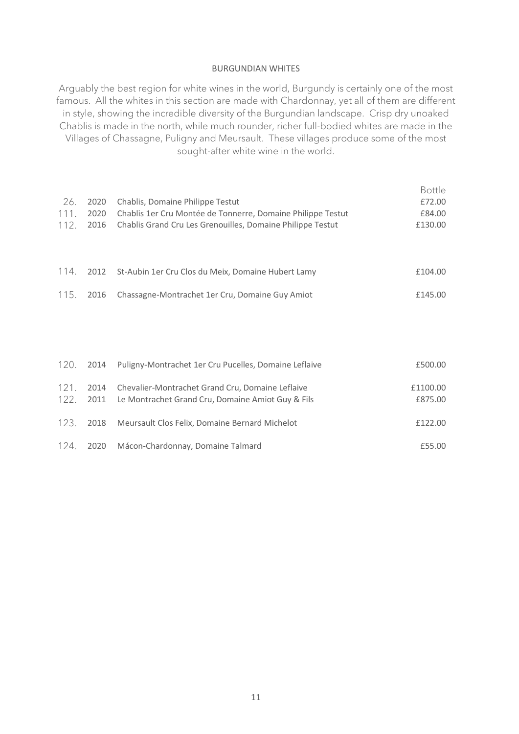#### BURGUNDIAN WHITES

Arguably the best region for white wines in the world, Burgundy is certainly one of the most famous. All the whites in this section are made with Chardonnay, yet all of them are different in style, showing the incredible diversity of the Burgundian landscape. Crisp dry unoaked Chablis is made in the north, while much rounder, richer full-bodied whites are made in the Villages of Chassagne, Puligny and Meursault. These villages produce some of the most sought-after white wine in the world.

|      |      |                                                             | <b>Bottle</b> |
|------|------|-------------------------------------------------------------|---------------|
| 26.  | 2020 | Chablis, Domaine Philippe Testut                            | £72.00        |
| 111. | 2020 | Chablis 1er Cru Montée de Tonnerre, Domaine Philippe Testut | £84.00        |
| 112. | 2016 | Chablis Grand Cru Les Grenouilles, Domaine Philippe Testut  | £130.00       |
|      |      |                                                             |               |
|      |      |                                                             |               |
| 114. | 2012 | St-Aubin 1er Cru Clos du Meix, Domaine Hubert Lamy          | £104.00       |
|      |      |                                                             |               |
| 115. | 2016 | Chassagne-Montrachet 1er Cru, Domaine Guy Amiot             | £145.00       |
|      |      |                                                             |               |
|      |      |                                                             |               |
|      |      |                                                             |               |
|      |      |                                                             |               |
| 120. | 2014 | Puligny-Montrachet 1er Cru Pucelles, Domaine Leflaive       | £500.00       |
|      |      |                                                             |               |

|  | 121. 2014 Chevalier-Montrachet Grand Cru, Domaine Leflaive<br>122. 2011 Le Montrachet Grand Cru, Domaine Amiot Guy & Fils | £1100.00<br>£875.00 |
|--|---------------------------------------------------------------------------------------------------------------------------|---------------------|
|  | 123. 2018 Meursault Clos Felix, Domaine Bernard Michelot                                                                  | £122.00             |
|  | 124. 2020 Mácon-Chardonnay, Domaine Talmard                                                                               | £55.00              |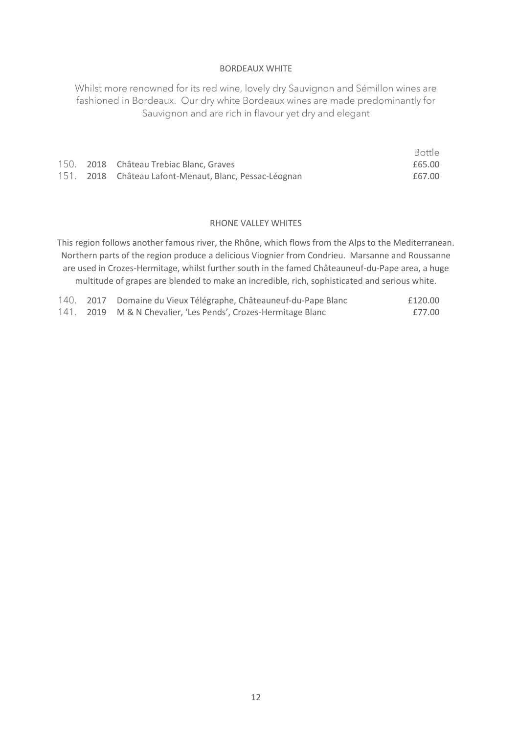#### BORDEAUX WHITE

Whilst more renowned for its red wine, lovely dry Sauvignon and Sémillon wines are fashioned in Bordeaux. Our dry white Bordeaux wines are made predominantly for Sauvignon and are rich in flavour yet dry and elegant

Bottle

|  |                                                        | -----  |
|--|--------------------------------------------------------|--------|
|  | 150. 2018 Château Trebiac Blanc, Graves                | £65.00 |
|  | 151. 2018 Château Lafont-Menaut, Blanc, Pessac-Léognan | £67.00 |

#### RHONE VALLEY WHITES

This region follows another famous river, the Rhône, which flows from the Alps to the Mediterranean. Northern parts of the region produce a delicious Viognier from Condrieu. Marsanne and Roussanne are used in Crozes-Hermitage, whilst further south in the famed Châteauneuf-du-Pape area, a huge multitude of grapes are blended to make an incredible, rich, sophisticated and serious white.

|  | 140. 2017 Domaine du Vieux Télégraphe, Châteauneuf-du-Pape Blanc | £120.00 |
|--|------------------------------------------------------------------|---------|
|  | 141. 2019 M & N Chevalier, 'Les Pends', Crozes-Hermitage Blanc   | £77.00  |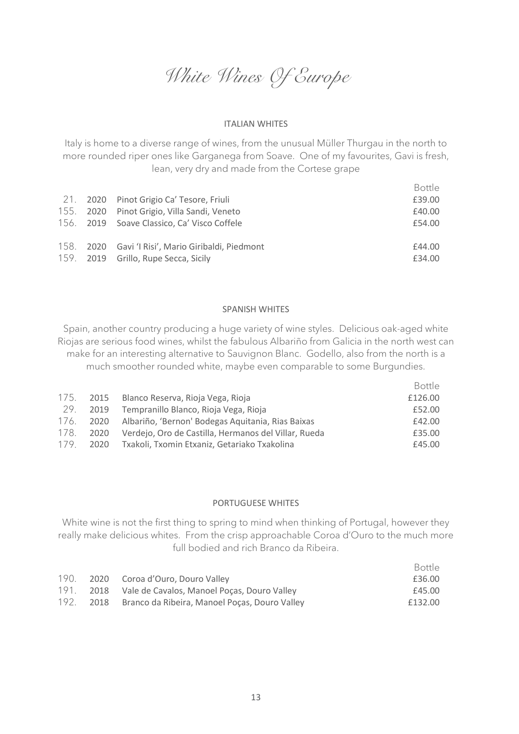*White Wines Of Europe*

#### ITALIAN WHITES

Italy is home to a diverse range of wines, from the unusual Müller Thurgau in the north to more rounded riper ones like Garganega from Soave. One of my favourites, Gavi is fresh, lean, very dry and made from the Cortese grape

|  |                                                    | Bottle |
|--|----------------------------------------------------|--------|
|  | 21. 2020 Pinot Grigio Ca' Tesore, Friuli           | £39.00 |
|  | 155. 2020 Pinot Grigio, Villa Sandi, Veneto        | £40.00 |
|  | 156. 2019 Soave Classico, Ca' Visco Coffele        | £54.00 |
|  |                                                    |        |
|  | 158. 2020 Gavi 'I Risi', Mario Giribaldi, Piedmont | £44.00 |
|  | 159. 2019 Grillo, Rupe Secca, Sicily               | £34.00 |
|  |                                                    |        |

#### SPANISH WHITES

Spain, another country producing a huge variety of wine styles. Delicious oak-aged white Riojas are serious food wines, whilst the fabulous Albariño from Galicia in the north west can make for an interesting alternative to Sauvignon Blanc. Godello, also from the north is a much smoother rounded white, maybe even comparable to some Burgundies.

|  |                                                                | <b>Bottle</b> |
|--|----------------------------------------------------------------|---------------|
|  | 175. 2015 Blanco Reserva, Rioja Vega, Rioja                    | £126.00       |
|  | 29. 2019 Tempranillo Blanco, Rioja Vega, Rioja                 | £52.00        |
|  | 176. 2020 Albariño, 'Bernon' Bodegas Aquitania, Rias Baixas    | £42.00        |
|  | 178. 2020 Verdejo, Oro de Castilla, Hermanos del Villar, Rueda | £35.00        |
|  | 179. 2020 Txakoli, Txomin Etxaniz, Getariako Txakolina         | £45.00        |

#### PORTUGUESE WHITES

White wine is not the first thing to spring to mind when thinking of Portugal, however they really make delicious whites. From the crisp approachable Coroa d'Ouro to the much more full bodied and rich Branco da Ribeira.

|      |                                                    | Bottle  |
|------|----------------------------------------------------|---------|
| 190. | 2020 Coroa d'Ouro, Douro Valley                    | £36.00  |
| 191. | 2018 Vale de Cavalos, Manoel Poças, Douro Valley   | £45.00  |
| 192. | 2018 Branco da Ribeira, Manoel Poças, Douro Valley | £132.00 |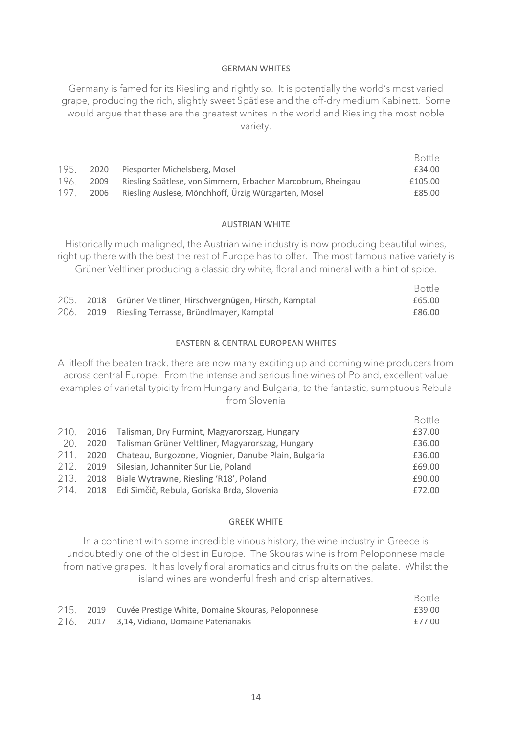#### GERMAN WHITES

Germany is famed for its Riesling and rightly so. It is potentially the world's most varied grape, producing the rich, slightly sweet Spätlese and the off-dry medium Kabinett. Some would argue that these are the greatest whites in the world and Riesling the most noble variety.

|      |      |                                                              | <b>Bottle</b> |
|------|------|--------------------------------------------------------------|---------------|
| 195. |      | 2020 Piesporter Michelsberg, Mosel                           | £34.00        |
| 196. | 2009 | Riesling Spätlese, von Simmern, Erbacher Marcobrum, Rheingau | £105.00       |
| 197. | 2006 | Riesling Auslese, Mönchhoff, Ürzig Würzgarten, Mosel         | £85.00        |

#### AUSTRIAN WHITE

Historically much maligned, the Austrian wine industry is now producing beautiful wines, right up there with the best the rest of Europe has to offer. The most famous native variety is Grüner Veltliner producing a classic dry white, floral and mineral with a hint of spice.

|  |                                                              | <b>Bottle</b> |
|--|--------------------------------------------------------------|---------------|
|  | 205. 2018 Grüner Veltliner, Hirschvergnügen, Hirsch, Kamptal | £65.00        |
|  | 206. 2019 Riesling Terrasse, Bründlmayer, Kamptal            | £86.00        |

#### EASTERN & CENTRAL EUROPEAN WHITES

A litleoff the beaten track, there are now many exciting up and coming wine producers from across central Europe. From the intense and serious fine wines of Poland, excellent value examples of varietal typicity from Hungary and Bulgaria, to the fantastic, sumptuous Rebula from Slovenia

|  |                                                                | Bottle |
|--|----------------------------------------------------------------|--------|
|  | 210. 2016 Talisman, Dry Furmint, Magyarorszag, Hungary         | £37.00 |
|  | 20. 2020 Talisman Grüner Veltliner, Magyarorszag, Hungary      | £36.00 |
|  | 211. 2020 Chateau, Burgozone, Viognier, Danube Plain, Bulgaria | £36.00 |
|  | 212. 2019 Silesian, Johanniter Sur Lie, Poland                 | £69.00 |
|  | 213. 2018 Biale Wytrawne, Riesling 'R18', Poland               | £90.00 |
|  | 214. 2018 Edi Simčič, Rebula, Goriska Brda, Slovenia           | £72.00 |

#### GREEK WHITE

In a continent with some incredible vinous history, the wine industry in Greece is undoubtedly one of the oldest in Europe. The Skouras wine is from Peloponnese made from native grapes. It has lovely floral aromatics and citrus fruits on the palate. Whilst the island wines are wonderful fresh and crisp alternatives.

|  |                                                              | Bottle |
|--|--------------------------------------------------------------|--------|
|  | 215. 2019 Cuvée Prestige White, Domaine Skouras, Peloponnese | £39.00 |
|  | 216. 2017 3.14, Vidiano, Domaine Paterianakis                | £77.00 |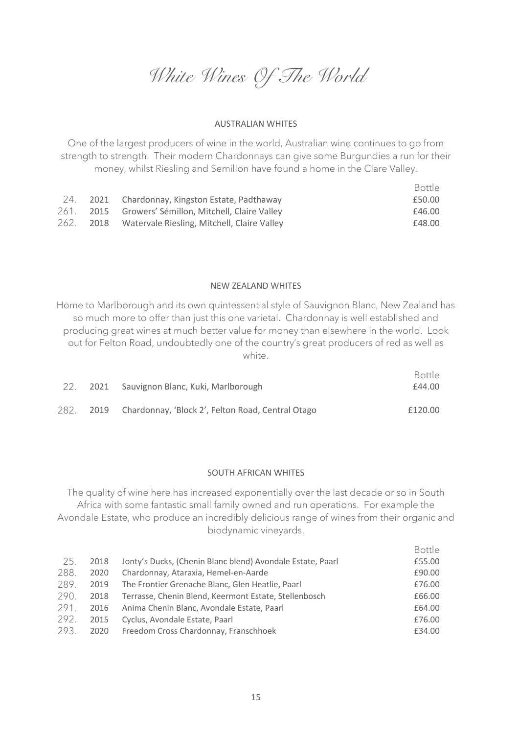*White Wines Of The World*

#### AUSTRALIAN WHITES

One of the largest producers of wine in the world, Australian wine continues to go from strength to strength. Their modern Chardonnays can give some Burgundies a run for their money, whilst Riesling and Semillon have found a home in the Clare Valley.

|  |                                                       | Bottle |
|--|-------------------------------------------------------|--------|
|  | 24. 2021 Chardonnay, Kingston Estate, Padthaway       | £50.00 |
|  | 261. 2015 Growers' Sémillon, Mitchell, Claire Valley  | £46.00 |
|  | 262. 2018 Watervale Riesling, Mitchell, Claire Valley | £48.00 |

#### NEW ZEALAND WHITES

Home to Marlborough and its own quintessential style of Sauvignon Blanc, New Zealand has so much more to offer than just this one varietal. Chardonnay is well established and producing great wines at much better value for money than elsewhere in the world. Look out for Felton Road, undoubtedly one of the country's great producers of red as well as white.

|  | 2021 Sauvignon Blanc, Kuki, Marlborough                     | Bottle<br>£44.00 |
|--|-------------------------------------------------------------|------------------|
|  | 282. 2019 Chardonnay, 'Block 2', Felton Road, Central Otago | £120.00          |

#### SOUTH AFRICAN WHITES

The quality of wine here has increased exponentially over the last decade or so in South Africa with some fantastic small family owned and run operations. For example the Avondale Estate, who produce an incredibly delicious range of wines from their organic and biodynamic vineyards.

|      |      |                                                            | <b>Bottle</b> |
|------|------|------------------------------------------------------------|---------------|
| 25.  | 2018 | Jonty's Ducks, (Chenin Blanc blend) Avondale Estate, Paarl | £55.00        |
| 288. | 2020 | Chardonnay, Ataraxia, Hemel-en-Aarde                       | £90.00        |
| 289. | 2019 | The Frontier Grenache Blanc, Glen Heatlie, Paarl           | £76.00        |
| 290. | 2018 | Terrasse, Chenin Blend, Keermont Estate, Stellenbosch      | £66.00        |
| 291. | 2016 | Anima Chenin Blanc, Avondale Estate, Paarl                 | £64.00        |
| 292. | 2015 | Cyclus, Avondale Estate, Paarl                             | £76.00        |
| 293. | 2020 | Freedom Cross Chardonnay, Franschhoek                      | £34.00        |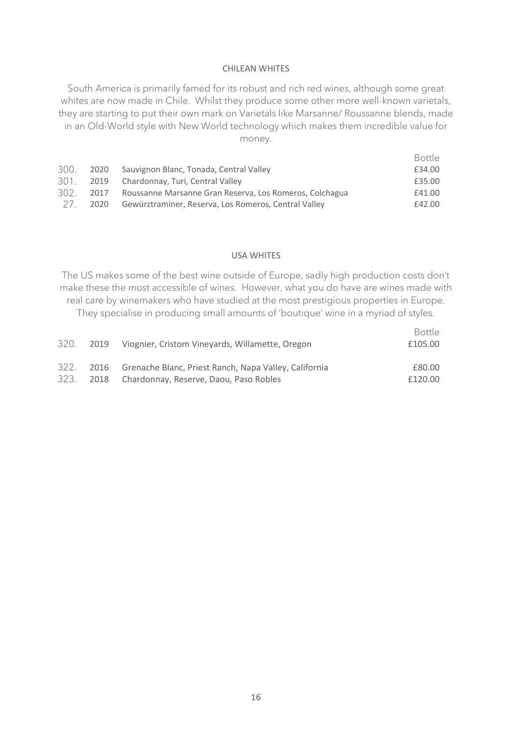#### CHILEAN WHITES

South America is primarily famed for its robust and rich red wines, although some great whites are now made in Chile. Whilst they produce some other more well-known varietals, they are starting to put their own mark on Varietals like Marsanne/ Roussanne blends, made in an Old-World style with New World technology which makes them incredible value for money.

|       |      |                                                         | Bottle |
|-------|------|---------------------------------------------------------|--------|
|       |      | 300. 2020 Sauvignon Blanc, Tonada, Central Valley       | £34.00 |
|       |      | 301. 2019 Chardonnay, Turi, Central Valley              | £35.00 |
| 302   | 2017 | Roussanne Marsanne Gran Reserva, Los Romeros, Colchagua | £41.00 |
| - 27. | 2020 | Gewürztraminer, Reserva, Los Romeros, Central Valley    | £42.00 |

#### USA WHITES

The US makes some of the best wine outside of Europe, sadly high production costs don't make these the most accessible of wines. However, what you do have are wines made with real care by winemakers who have studied at the most prestigious properties in Europe. They specialise in producing small amounts of 'boutique' wine in a myriad of styles.

| They specialise in producting striali amounts of bounque wille in a myriad of styles. |  |  |        |
|---------------------------------------------------------------------------------------|--|--|--------|
|                                                                                       |  |  | $\Box$ |

|  | 320. 2019 Viognier, Cristom Vineyards, Willamette, Oregon       | Bottle<br>£105.00 |
|--|-----------------------------------------------------------------|-------------------|
|  | 322. 2016 Grenache Blanc, Priest Ranch, Napa Valley, California | £80.00            |
|  | 323. 2018 Chardonnay, Reserve, Daou, Paso Robles                | £120.00           |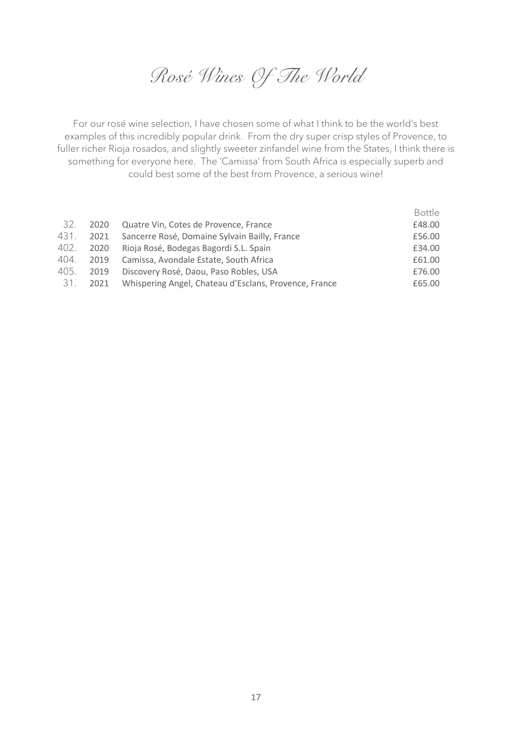*Rosé Wines Of The World*

For our rosé wine selection, I have chosen some of what I think to be the world's best examples of this incredibly popular drink. From the dry super crisp styles of Provence, to fuller richer Rioja rosados, and slightly sweeter zinfandel wine from the States, I think there is something for everyone here. The 'Camissa' from South Africa is especially superb and could best some of the best from Provence, a serious wine!

|      |                                                       | <b>Bottle</b> |
|------|-------------------------------------------------------|---------------|
| 2020 | Quatre Vin, Cotes de Provence, France                 | £48.00        |
| 2021 | Sancerre Rosé, Domaine Sylvain Bailly, France         | £56.00        |
| 2020 | Rioja Rosé, Bodegas Bagordi S.L. Spain                | £34.00        |
| 2019 | Camissa, Avondale Estate, South Africa                | £61.00        |
| 2019 | Discovery Rosé, Daou, Paso Robles, USA                | £76.00        |
| 2021 | Whispering Angel, Chateau d'Esclans, Provence, France | £65.00        |
|      |                                                       |               |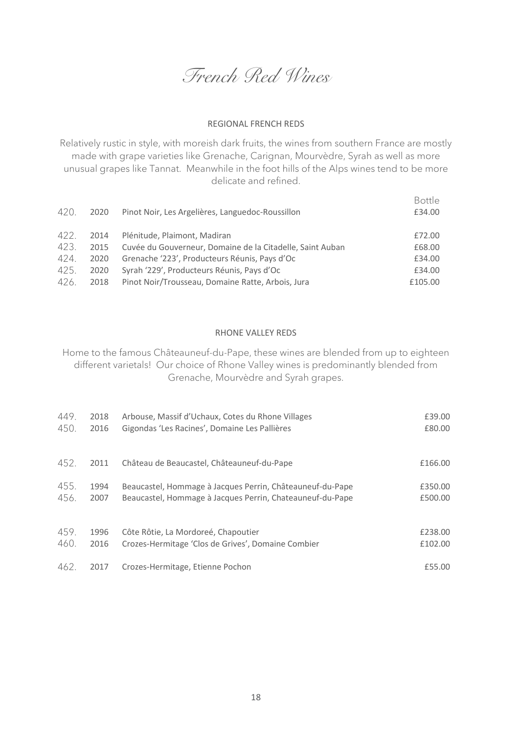*French Red Wines*

#### REGIONAL FRENCH REDS

Relatively rustic in style, with moreish dark fruits, the wines from southern France are mostly made with grape varieties like Grenache, Carignan, Mourvèdre, Syrah as well as more unusual grapes like Tannat. Meanwhile in the foot hills of the Alps wines tend to be more delicate and refined.

| 420. | 2020 | Pinot Noir, Les Argelières, Languedoc-Roussillon          | Bottle<br>£34.00 |
|------|------|-----------------------------------------------------------|------------------|
| 422. | 2014 | Plénitude, Plaimont, Madiran                              | £72.00           |
| 423. | 2015 | Cuvée du Gouverneur, Domaine de la Citadelle, Saint Auban | £68.00           |
| 424. | 2020 | Grenache '223', Producteurs Réunis, Pays d'Oc             | £34.00           |
| 425. | 2020 | Syrah '229', Producteurs Réunis, Pays d'Oc                | £34.00           |
| 426. | 2018 | Pinot Noir/Trousseau, Domaine Ratte, Arbois, Jura         | £105.00          |

#### RHONE VALLEY REDS

Home to the famous Châteauneuf-du-Pape, these wines are blended from up to eighteen different varietals! Our choice of Rhone Valley wines is predominantly blended from Grenache, Mourvèdre and Syrah grapes.

| 449. | 2018 | Arbouse, Massif d'Uchaux, Cotes du Rhone Villages         | £39.00  |
|------|------|-----------------------------------------------------------|---------|
| 450. | 2016 | Gigondas 'Les Racines', Domaine Les Pallières             | £80.00  |
| 452. | 2011 | Château de Beaucastel, Châteauneuf-du-Pape                | £166.00 |
| 455. | 1994 | Beaucastel, Hommage à Jacques Perrin, Châteauneuf-du-Pape | £350.00 |
| 456. | 2007 | Beaucastel, Hommage à Jacques Perrin, Chateauneuf-du-Pape | £500.00 |
| 459. | 1996 | Côte Rôtie, La Mordoreé, Chapoutier                       | £238.00 |
| 460. | 2016 | Crozes-Hermitage 'Clos de Grives', Domaine Combier        | £102.00 |
| 462. | 2017 | Crozes-Hermitage, Etienne Pochon                          | £55.00  |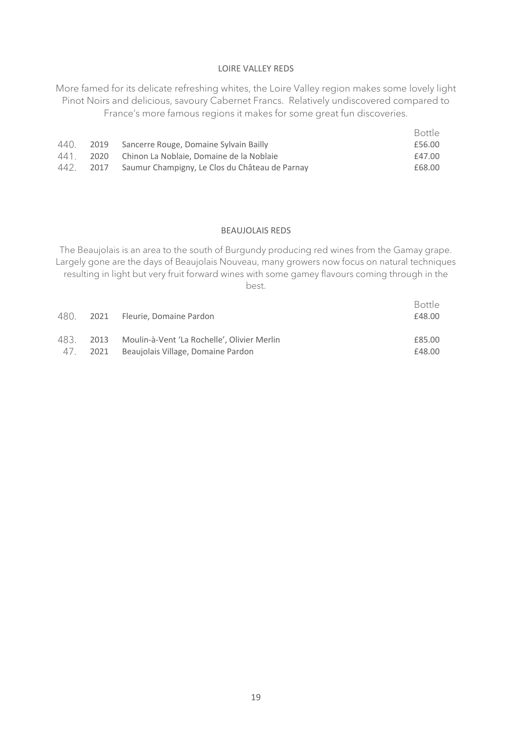#### LOIRE VALLEY REDS

More famed for its delicate refreshing whites, the Loire Valley region makes some lovely light Pinot Noirs and delicious, savoury Cabernet Francs. Relatively undiscovered compared to France's more famous regions it makes for some great fun discoveries.

|      |                                                          | <b>Bottle</b> |
|------|----------------------------------------------------------|---------------|
|      | 440. 2019 Sancerre Rouge, Domaine Sylvain Bailly         | £56.00        |
| 441. | 2020 Chinon La Noblaie, Domaine de la Noblaie            | £47.00        |
|      | 442. 2017 Saumur Champigny, Le Clos du Château de Parnay | £68.00        |

#### BEAUJOLAIS REDS

The Beaujolais is an area to the south of Burgundy producing red wines from the Gamay grape. Largely gone are the days of Beaujolais Nouveau, many growers now focus on natural techniques resulting in light but very fruit forward wines with some gamey flavours coming through in the best.

|      |      | 480. 2021 Fleurie, Domaine Pardon           | Bottle<br>£48.00 |
|------|------|---------------------------------------------|------------------|
| 483. | 2013 | Moulin-à-Vent 'La Rochelle', Olivier Merlin | £85.00           |
| 4/   | 2021 | Beaujolais Village, Domaine Pardon          | £48.00           |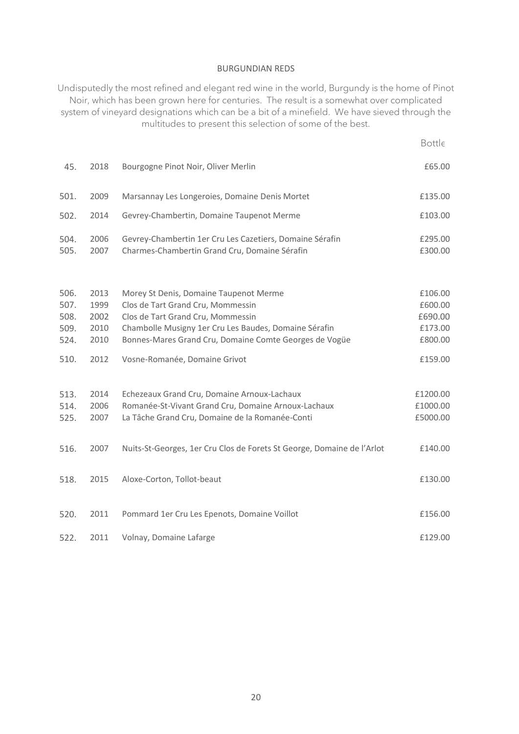#### BURGUNDIAN REDS

Undisputedly the most refined and elegant red wine in the world, Burgundy is the home of Pinot Noir, which has been grown here for centuries. The result is a somewhat over complicated system of vineyard designations which can be a bit of a minefield. We have sieved through the multitudes to present this selection of some of the best.

| 45.                                  | 2018                                 | Bourgogne Pinot Noir, Oliver Merlin                                                                                                                                                                                                 | £65.00                                              |
|--------------------------------------|--------------------------------------|-------------------------------------------------------------------------------------------------------------------------------------------------------------------------------------------------------------------------------------|-----------------------------------------------------|
| 501.                                 | 2009                                 | Marsannay Les Longeroies, Domaine Denis Mortet                                                                                                                                                                                      | £135.00                                             |
| 502.                                 | 2014                                 | Gevrey-Chambertin, Domaine Taupenot Merme                                                                                                                                                                                           | £103.00                                             |
| 504.<br>505.                         | 2006<br>2007                         | Gevrey-Chambertin 1er Cru Les Cazetiers, Domaine Sérafin<br>Charmes-Chambertin Grand Cru, Domaine Sérafin                                                                                                                           | £295.00<br>£300.00                                  |
| 506.<br>507.<br>508.<br>509.<br>524. | 2013<br>1999<br>2002<br>2010<br>2010 | Morey St Denis, Domaine Taupenot Merme<br>Clos de Tart Grand Cru, Mommessin<br>Clos de Tart Grand Cru, Mommessin<br>Chambolle Musigny 1er Cru Les Baudes, Domaine Sérafin<br>Bonnes-Mares Grand Cru, Domaine Comte Georges de Vogüe | £106.00<br>£600.00<br>£690.00<br>£173.00<br>£800.00 |
| 510.                                 | 2012                                 | Vosne-Romanée, Domaine Grivot                                                                                                                                                                                                       | £159.00                                             |
| 513.<br>514.<br>525.                 | 2014<br>2006<br>2007                 | Echezeaux Grand Cru, Domaine Arnoux-Lachaux<br>Romanée-St-Vivant Grand Cru, Domaine Arnoux-Lachaux<br>La Tâche Grand Cru, Domaine de la Romanée-Conti                                                                               | £1200.00<br>£1000.00<br>£5000.00                    |
| 516.                                 | 2007                                 | Nuits-St-Georges, 1er Cru Clos de Forets St George, Domaine de l'Arlot                                                                                                                                                              | £140.00                                             |
| 518.                                 | 2015                                 | Aloxe-Corton, Tollot-beaut                                                                                                                                                                                                          | £130.00                                             |
| 520.                                 | 2011                                 | Pommard 1er Cru Les Epenots, Domaine Voillot                                                                                                                                                                                        | £156.00                                             |
| 522.                                 | 2011                                 | Volnay, Domaine Lafarge                                                                                                                                                                                                             | £129.00                                             |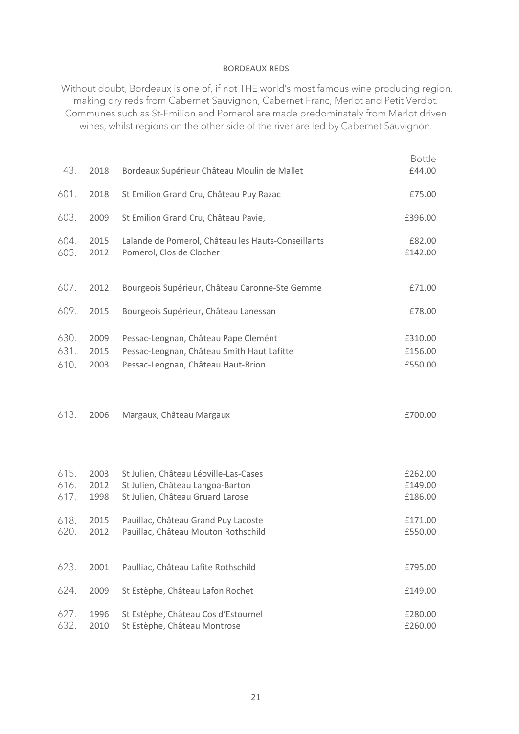#### BORDEAUX REDS

Without doubt, Bordeaux is one of, if not THE world's most famous wine producing region, making dry reds from Cabernet Sauvignon, Cabernet Franc, Merlot and Petit Verdot. Communes such as St-Emilion and Pomerol are made predominately from Merlot driven wines, whilst regions on the other side of the river are led by Cabernet Sauvignon.

| 43.                                  | 2018                                 | Bordeaux Supérieur Château Moulin de Mallet                                                                                                                                                 | £44.00                                              |
|--------------------------------------|--------------------------------------|---------------------------------------------------------------------------------------------------------------------------------------------------------------------------------------------|-----------------------------------------------------|
| 601.                                 | 2018                                 | St Emilion Grand Cru, Château Puy Razac                                                                                                                                                     | £75.00                                              |
| 603.                                 | 2009                                 | St Emilion Grand Cru, Château Pavie,                                                                                                                                                        | £396.00                                             |
| 604.<br>605.                         | 2015<br>2012                         | Lalande de Pomerol, Château les Hauts-Conseillants<br>Pomerol, Clos de Clocher                                                                                                              | £82.00<br>£142.00                                   |
| 607.                                 | 2012                                 | Bourgeois Supérieur, Château Caronne-Ste Gemme                                                                                                                                              | £71.00                                              |
| 609.                                 | 2015                                 | Bourgeois Supérieur, Château Lanessan                                                                                                                                                       | £78.00                                              |
| 630.<br>631.<br>610.                 | 2009<br>2015<br>2003                 | Pessac-Leognan, Château Pape Clemént<br>Pessac-Leognan, Château Smith Haut Lafitte<br>Pessac-Leognan, Château Haut-Brion                                                                    | £310.00<br>£156.00<br>£550.00                       |
| 613.                                 | 2006                                 | Margaux, Château Margaux                                                                                                                                                                    | £700.00                                             |
| 615.<br>616.<br>617.<br>618.<br>620. | 2003<br>2012<br>1998<br>2015<br>2012 | St Julien, Château Léoville-Las-Cases<br>St Julien, Château Langoa-Barton<br>St Julien, Château Gruard Larose<br>Pauillac, Château Grand Puy Lacoste<br>Pauillac, Château Mouton Rothschild | £262.00<br>£149.00<br>£186.00<br>£171.00<br>£550.00 |
| 623.                                 | 2001                                 | Paulliac, Château Lafite Rothschild                                                                                                                                                         | £795.00                                             |
| 624.                                 | 2009                                 | St Estèphe, Château Lafon Rochet                                                                                                                                                            | £149.00                                             |
| 627.<br>632.                         | 1996<br>2010                         | St Estèphe, Château Cos d'Estournel<br>St Estèphe, Château Montrose                                                                                                                         | £280.00<br>£260.00                                  |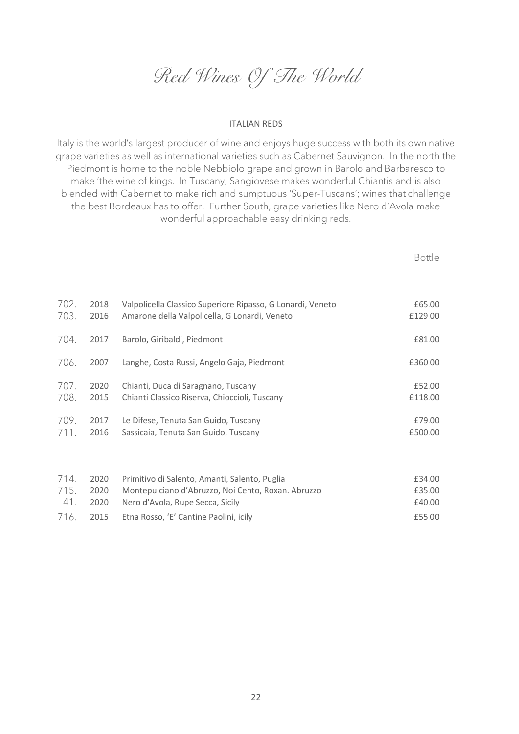*Red Wines Of The World*

#### ITALIAN REDS

Italy is the world's largest producer of wine and enjoys huge success with both its own native grape varieties as well as international varieties such as Cabernet Sauvignon. In the north the Piedmont is home to the noble Nebbiolo grape and grown in Barolo and Barbaresco to make 'the wine of kings. In Tuscany, Sangiovese makes wonderful Chiantis and is also blended with Cabernet to make rich and sumptuous 'Super-Tuscans'; wines that challenge the best Bordeaux has to offer. Further South, grape varieties like Nero d'Avola make wonderful approachable easy drinking reds.

| 702. | 2018 | Valpolicella Classico Superiore Ripasso, G Lonardi, Veneto | £65.00  |
|------|------|------------------------------------------------------------|---------|
| 703. | 2016 | Amarone della Valpolicella, G Lonardi, Veneto              | £129.00 |
| 704. | 2017 | Barolo, Giribaldi, Piedmont                                | £81.00  |
| 706. | 2007 | Langhe, Costa Russi, Angelo Gaja, Piedmont                 | £360.00 |
| 707. | 2020 | Chianti, Duca di Saragnano, Tuscany                        | £52.00  |
| 708. | 2015 | Chianti Classico Riserva, Chioccioli, Tuscany              | £118.00 |
| 709. | 2017 | Le Difese, Tenuta San Guido, Tuscany                       | £79.00  |
| 711. | 2016 | Sassicaia, Tenuta San Guido, Tuscany                       | £500.00 |

|  | 714. 2020 Primitivo di Salento, Amanti, Salento, Puglia      | £34.00 |
|--|--------------------------------------------------------------|--------|
|  | 715. 2020 Montepulciano d'Abruzzo, Noi Cento, Roxan. Abruzzo | £35.00 |
|  | 41. 2020 Nero d'Avola, Rupe Secca, Sicily                    | £40.00 |
|  | 716. 2015 Etna Rosso, 'E' Cantine Paolini, icily             | £55.00 |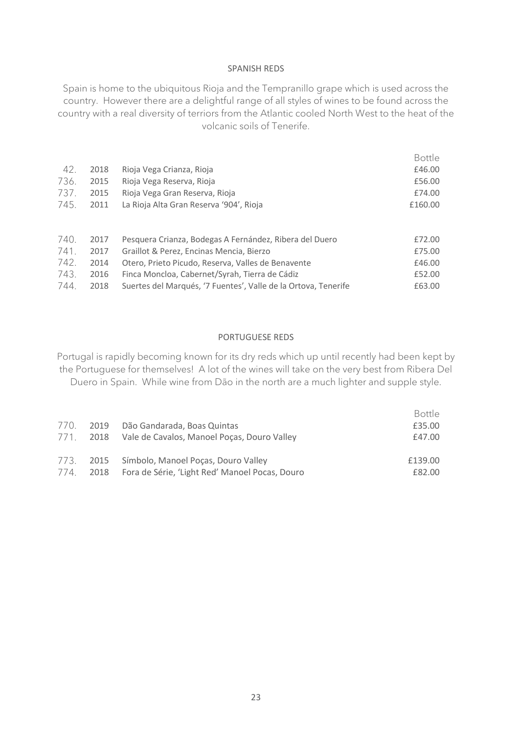#### SPANISH REDS

Spain is home to the ubiquitous Rioja and the Tempranillo grape which is used across the country. However there are a delightful range of all styles of wines to be found across the country with a real diversity of terriors from the Atlantic cooled North West to the heat of the volcanic soils of Tenerife.

|      |      |                                                                | Bottle  |
|------|------|----------------------------------------------------------------|---------|
| 42.  | 2018 | Rioja Vega Crianza, Rioja                                      | £46.00  |
| 736. | 2015 | Rioja Vega Reserva, Rioja                                      | £56.00  |
| 737. | 2015 | Rioja Vega Gran Reserva, Rioja                                 | £74.00  |
| 745. | 2011 | La Rioja Alta Gran Reserva '904', Rioja                        | £160.00 |
|      |      |                                                                |         |
| 740. | 2017 | Pesquera Crianza, Bodegas A Fernández, Ribera del Duero        | £72.00  |
| 741. | 2017 | Graillot & Perez, Encinas Mencia, Bierzo                       | £75.00  |
| 742. | 2014 | Otero, Prieto Picudo, Reserva, Valles de Benavente             | £46.00  |
| 743. | 2016 | Finca Moncloa, Cabernet/Syrah, Tierra de Cádiz                 | £52.00  |
| 744. | 2018 | Suertes del Marqués, '7 Fuentes', Valle de la Ortova, Tenerife | £63.00  |

#### PORTUGUESE REDS

Portugal is rapidly becoming known for its dry reds which up until recently had been kept by the Portuguese for themselves! A lot of the wines will take on the very best from Ribera Del Duero in Spain. While wine from Dão in the north are a much lighter and supple style.

|           |                                                       | Bottle  |
|-----------|-------------------------------------------------------|---------|
|           | 770. 2019 Dão Gandarada, Boas Quintas                 | £35.00  |
|           | 771. 2018 Vale de Cavalos, Manoel Poças, Douro Valley | £47.00  |
|           | 773. 2015 Símbolo, Manoel Poças, Douro Valley         | £139.00 |
| 774. 2018 | Fora de Série, 'Light Red' Manoel Pocas, Douro        | £82.00  |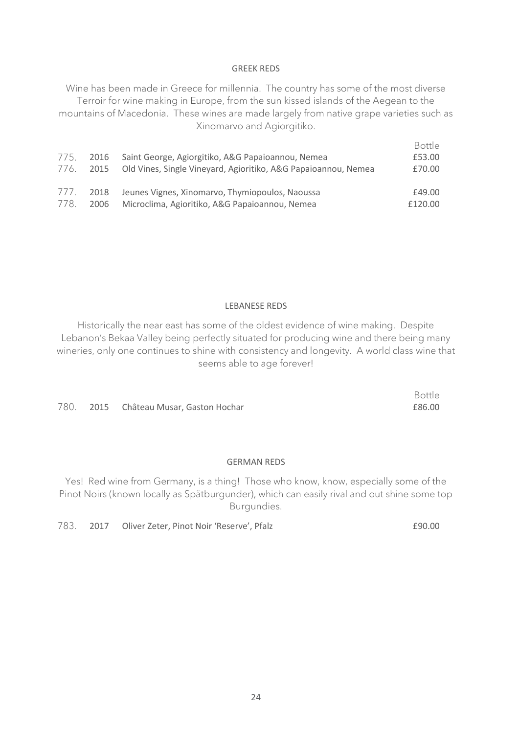#### GREEK REDS

Wine has been made in Greece for millennia. The country has some of the most diverse Terroir for wine making in Europe, from the sun kissed islands of the Aegean to the mountains of Macedonia. These wines are made largely from native grape varieties such as Xinomarvo and Agiorgitiko.

| 1/5. | 2016 | Saint George, Agiorgitiko, A&G Papaioannou, Nemea                   | Bottle<br>£53.00 |
|------|------|---------------------------------------------------------------------|------------------|
| 776. |      | 2015 Old Vines, Single Vineyard, Agioritiko, A&G Papaioannou, Nemea | £70.00           |
| 111. | 2018 | Jeunes Vignes, Xinomarvo, Thymiopoulos, Naoussa                     | £49.00           |
| 778. | 2006 | Microclima, Agioritiko, A&G Papaioannou, Nemea                      | £120.00          |

#### LEBANESE REDS

Historically the near east has some of the oldest evidence of wine making. Despite Lebanon's Bekaa Valley being perfectly situated for producing wine and there being many wineries, only one continues to shine with consistency and longevity. A world class wine that seems able to age forever!

780. 2015 Château Musar, Gaston Hochar **Example 2016** 2015 Château Musar, Gaston Hochar

#### GERMAN REDS

Yes! Red wine from Germany, is a thing! Those who know, know, especially some of the Pinot Noirs (known locally as Spätburgunder), which can easily rival and out shine some top Burgundies.

783. 2017 Oliver Zeter, Pinot Noir 'Reserve', Pfalz 783. 2017 190.00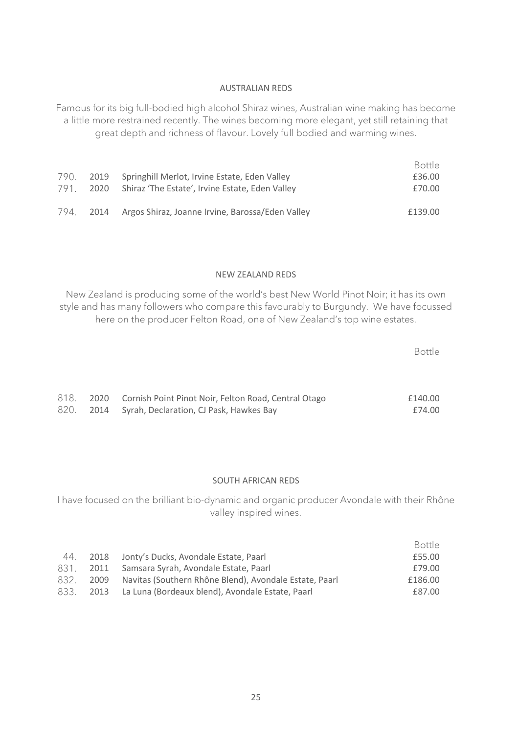#### AUSTRALIAN REDS

Famous for its big full-bodied high alcohol Shiraz wines, Australian wine making has become a little more restrained recently. The wines becoming more elegant, yet still retaining that great depth and richness of flavour. Lovely full bodied and warming wines.

|           |                                                           | Bottle  |
|-----------|-----------------------------------------------------------|---------|
|           | 790. 2019 Springhill Merlot, Irvine Estate, Eden Valley   | £36.00  |
|           | 791. 2020 Shiraz 'The Estate', Irvine Estate, Eden Valley | £70.00  |
| 794. 2014 | Argos Shiraz, Joanne Irvine, Barossa/Eden Valley          | £139.00 |

#### NEW ZEALAND REDS

New Zealand is producing some of the world's best New World Pinot Noir; it has its own style and has many followers who compare this favourably to Burgundy. We have focussed here on the producer Felton Road, one of New Zealand's top wine estates.

Bottle

|  | 818. 2020 Cornish Point Pinot Noir, Felton Road, Central Otago | £140.00 |
|--|----------------------------------------------------------------|---------|
|  | 820. 2014 Syrah, Declaration, CJ Pask, Hawkes Bay              | £74.00  |

#### SOUTH AFRICAN REDS

I have focused on the brilliant bio-dynamic and organic producer Avondale with their Rhône valley inspired wines.

|     |                                                                  | Bottle  |
|-----|------------------------------------------------------------------|---------|
| 44. | 2018 Jonty's Ducks, Avondale Estate, Paarl                       | £55.00  |
|     | 831. 2011 Samsara Syrah, Avondale Estate, Paarl                  | £79.00  |
|     | 832. 2009 Navitas (Southern Rhône Blend), Avondale Estate, Paarl | £186.00 |
|     | 833. 2013 La Luna (Bordeaux blend), Avondale Estate, Paarl       | £87.00  |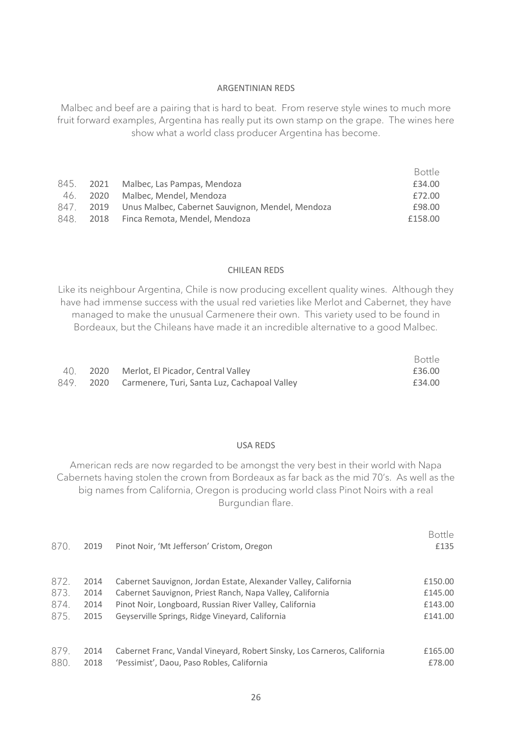#### ARGENTINIAN REDS

Malbec and beef are a pairing that is hard to beat. From reserve style wines to much more fruit forward examples, Argentina has really put its own stamp on the grape. The wines here show what a world class producer Argentina has become.

|          |                                                            | Bottle  |
|----------|------------------------------------------------------------|---------|
|          | 845. 2021 Malbec, Las Pampas, Mendoza                      | £34.00  |
| 46. 2020 | Malbec, Mendel, Mendoza                                    | £72.00  |
|          | 847. 2019 Unus Malbec, Cabernet Sauvignon, Mendel, Mendoza | £98.00  |
|          | 848. 2018 Finca Remota, Mendel, Mendoza                    | £158.00 |

#### CHILEAN REDS

Like its neighbour Argentina, Chile is now producing excellent quality wines. Although they have had immense success with the usual red varieties like Merlot and Cabernet, they have managed to make the unusual Carmenere their own. This variety used to be found in Bordeaux, but the Chileans have made it an incredible alternative to a good Malbec.

|  |                                                        | Bottle |
|--|--------------------------------------------------------|--------|
|  | 40. 2020 Merlot, El Picador, Central Valley            | £36.00 |
|  | 849. 2020 Carmenere, Turi, Santa Luz, Cachapoal Valley | £34.00 |

#### USA REDS

American reds are now regarded to be amongst the very best in their world with Napa Cabernets having stolen the crown from Bordeaux as far back as the mid 70's. As well as the big names from California, Oregon is producing world class Pinot Noirs with a real Burgundian flare.

| 870. | 2019 | Pinot Noir, 'Mt Jefferson' Cristom, Oregon                               | <b>Bottle</b><br>£135 |
|------|------|--------------------------------------------------------------------------|-----------------------|
| 872. | 2014 | Cabernet Sauvignon, Jordan Estate, Alexander Valley, California          | £150.00               |
| 873. | 2014 | Cabernet Sauvignon, Priest Ranch, Napa Valley, California                | £145.00               |
| 874. | 2014 | Pinot Noir, Longboard, Russian River Valley, California                  | £143.00               |
| 875. | 2015 | Geyserville Springs, Ridge Vineyard, California                          | £141.00               |
|      |      |                                                                          |                       |
| 879. | 2014 | Cabernet Franc, Vandal Vineyard, Robert Sinsky, Los Carneros, California | £165.00               |
| 880. | 2018 | 'Pessimist', Daou, Paso Robles, California                               | £78.00                |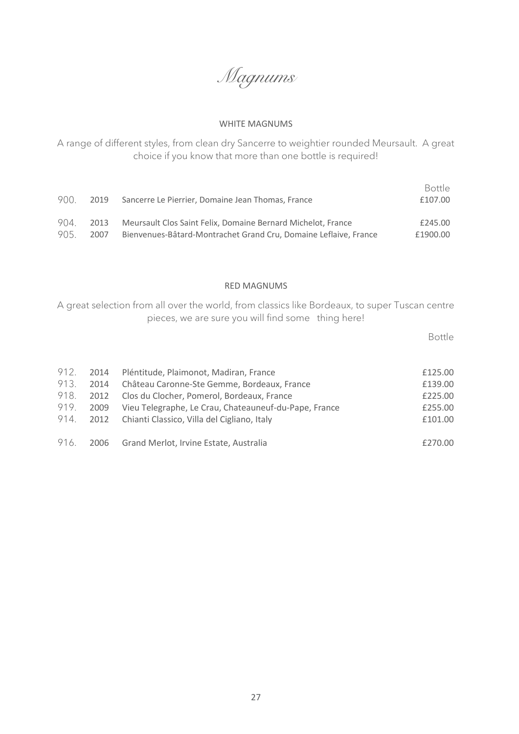*Magnums*

#### WHITE MAGNUMS

A range of different styles, from clean dry Sancerre to weightier rounded Meursault. A great choice if you know that more than one bottle is required!

| 900. | 2019 | Sancerre Le Pierrier, Domaine Jean Thomas, France                | <b>Bottle</b><br>£107.00 |
|------|------|------------------------------------------------------------------|--------------------------|
| 904  | 2013 | Meursault Clos Saint Felix, Domaine Bernard Michelot, France     | £245.00                  |
| 905  | 2007 | Bienvenues-Bâtard-Montrachet Grand Cru. Domaine Leflaive. France | £1900.00                 |

#### RED MAGNUMS

A great selection from all over the world, from classics like Bordeaux, to super Tuscan centre pieces, we are sure you will find some thing here!

|      |      | 912. 2014 Pléntitude, Plaimonot, Madiran, France      | £125.00 |
|------|------|-------------------------------------------------------|---------|
| 913. | 2014 | Château Caronne-Ste Gemme, Bordeaux, France           | £139.00 |
|      |      | 918. 2012 Clos du Clocher, Pomerol, Bordeaux, France  | £225.00 |
| 919. | 2009 | Vieu Telegraphe, Le Crau, Chateauneuf-du-Pape, France | £255.00 |
|      |      | 914. 2012 Chianti Classico, Villa del Cigliano, Italy | £101.00 |
|      |      | 916. 2006 Grand Merlot, Irvine Estate, Australia      | £270.00 |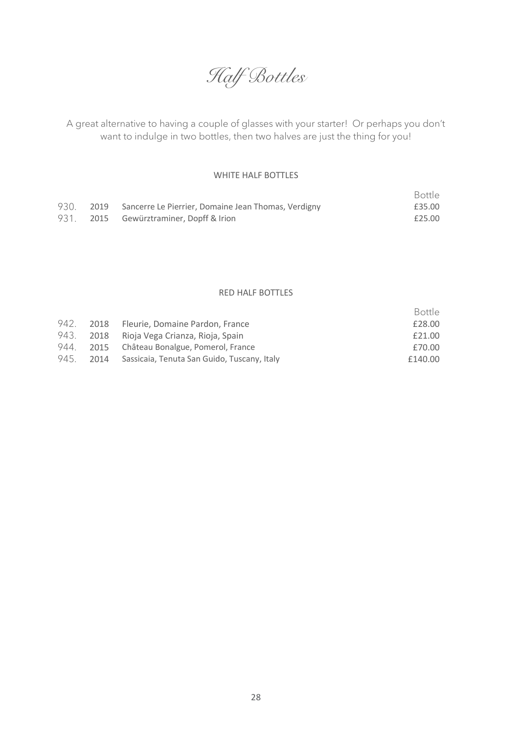

A great alternative to having a couple of glasses with your starter! Or perhaps you don't want to indulge in two bottles, then two halves are just the thing for you!

#### WHITE HALF BOTTLES

|      |                                                          | Bottle |
|------|----------------------------------------------------------|--------|
| 930. | 2019 Sancerre Le Pierrier, Domaine Jean Thomas, Verdigny | £35.00 |
| 931. | 2015 Gewürztraminer, Dopff & Irion                       | £25.00 |

#### RED HALF BOTTLES

|  |                                                       | Bottle  |
|--|-------------------------------------------------------|---------|
|  | 942. 2018 Fleurie, Domaine Pardon, France             | £28.00  |
|  | 943. 2018 Rioja Vega Crianza, Rioja, Spain            | £21.00  |
|  | 944. 2015 Château Bonalgue, Pomerol, France           | £70.00  |
|  | 945. 2014 Sassicaia, Tenuta San Guido, Tuscany, Italy | £140.00 |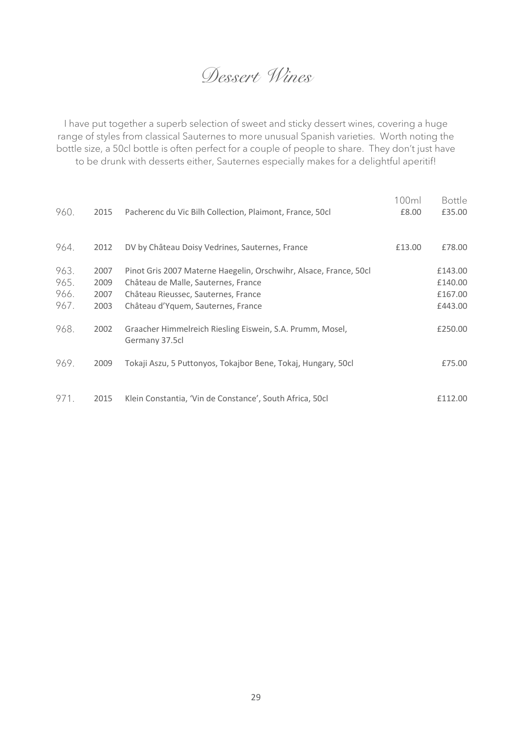### *Dessert Wines*

I have put together a superb selection of sweet and sticky dessert wines, covering a huge range of styles from classical Sauternes to more unusual Spanish varieties. Worth noting the bottle size, a 50cl bottle is often perfect for a couple of people to share. They don't just have to be drunk with desserts either, Sauternes especially makes for a delightful aperitif!

| 960.                         | 2015                         | Pacherenc du Vic Bilh Collection, Plaimont, France, 50cl                                                                                                                              | 100ml<br>£8.00 | Bottle<br>£35.00                         |
|------------------------------|------------------------------|---------------------------------------------------------------------------------------------------------------------------------------------------------------------------------------|----------------|------------------------------------------|
| 964.                         | 2012                         | DV by Château Doisy Vedrines, Sauternes, France                                                                                                                                       | £13.00         | £78.00                                   |
| 963.<br>965.<br>966.<br>967. | 2007<br>2009<br>2007<br>2003 | Pinot Gris 2007 Materne Haegelin, Orschwihr, Alsace, France, 50cl<br>Château de Malle, Sauternes, France<br>Château Rieussec, Sauternes, France<br>Château d'Yguem, Sauternes, France |                | £143.00<br>£140.00<br>£167.00<br>£443.00 |
| 968.                         | 2002                         | Graacher Himmelreich Riesling Eiswein, S.A. Prumm, Mosel,<br>Germany 37.5cl                                                                                                           |                | £250.00                                  |
| 969.                         | 2009                         | Tokaji Aszu, 5 Puttonyos, Tokajbor Bene, Tokaj, Hungary, 50cl                                                                                                                         |                | £75.00                                   |
| 971.                         | 2015                         | Klein Constantia, 'Vin de Constance', South Africa, 50cl                                                                                                                              |                | £112.00                                  |